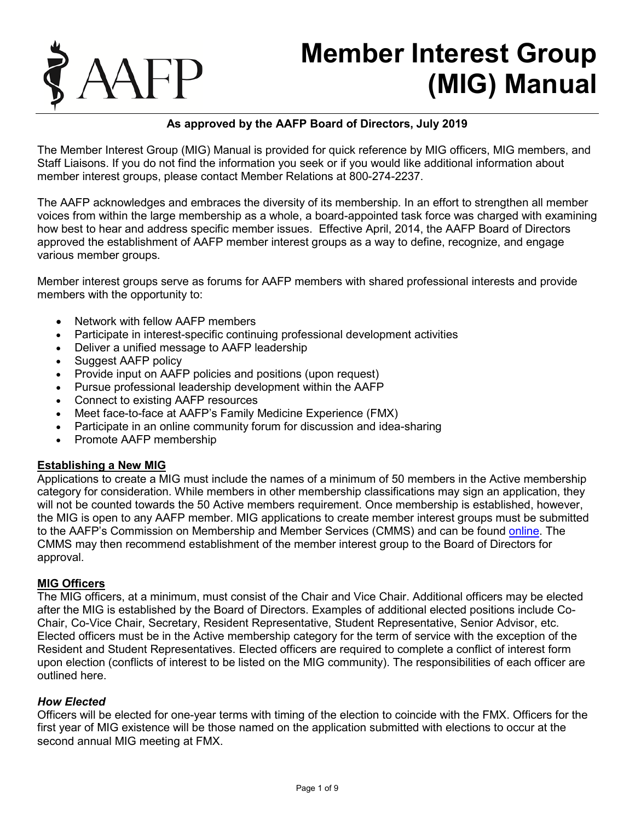

# **Member Interest Group (MIG) Manual**

## **As approved by the AAFP Board of Directors, July 2019**

The Member Interest Group (MIG) Manual is provided for quick reference by MIG officers, MIG members, and Staff Liaisons. If you do not find the information you seek or if you would like additional information about member interest groups, please contact Member Relations at 800-274-2237.

The AAFP acknowledges and embraces the diversity of its membership. In an effort to strengthen all member voices from within the large membership as a whole, a board-appointed task force was charged with examining how best to hear and address specific member issues. Effective April, 2014, the AAFP Board of Directors approved the establishment of AAFP member interest groups as a way to define, recognize, and engage various member groups.

Member interest groups serve as forums for AAFP members with shared professional interests and provide members with the opportunity to:

- Network with fellow AAFP members
- Participate in interest-specific continuing professional development activities
- Deliver a unified message to AAFP leadership
- Suggest AAFP policy
- Provide input on AAFP policies and positions (upon request)
- Pursue professional leadership development within the AAFP
- Connect to existing AAFP resources
- Meet face-to-face at AAFP's Family Medicine Experience (FMX)
- Participate in an online community forum for discussion and idea-sharing
- Promote AAFP membership

#### **Establishing a New MIG**

Applications to create a MIG must include the names of a minimum of 50 members in the Active membership category for consideration. While members in other membership classifications may sign an application, they will not be counted towards the 50 Active members requirement. Once membership is established, however, the MIG is open to any AAFP member. MIG applications to create member interest groups must be submitted to the AAFP's Commission on Membership and Member Services (CMMS) and can be found [online.](http://www.aafp.org/dam/AAFP/documents/about_us/membership_applications/interest-groups-application.pdf) The CMMS may then recommend establishment of the member interest group to the Board of Directors for approval.

#### **MIG Officers**

The MIG officers, at a minimum, must consist of the Chair and Vice Chair. Additional officers may be elected after the MIG is established by the Board of Directors. Examples of additional elected positions include Co-Chair, Co-Vice Chair, Secretary, Resident Representative, Student Representative, Senior Advisor, etc. Elected officers must be in the Active membership category for the term of service with the exception of the Resident and Student Representatives. Elected officers are required to complete a conflict of interest form upon election (conflicts of interest to be listed on the MIG community). The responsibilities of each officer are outlined here.

#### *How Elected*

Officers will be elected for one-year terms with timing of the election to coincide with the FMX. Officers for the first year of MIG existence will be those named on the application submitted with elections to occur at the second annual MIG meeting at FMX.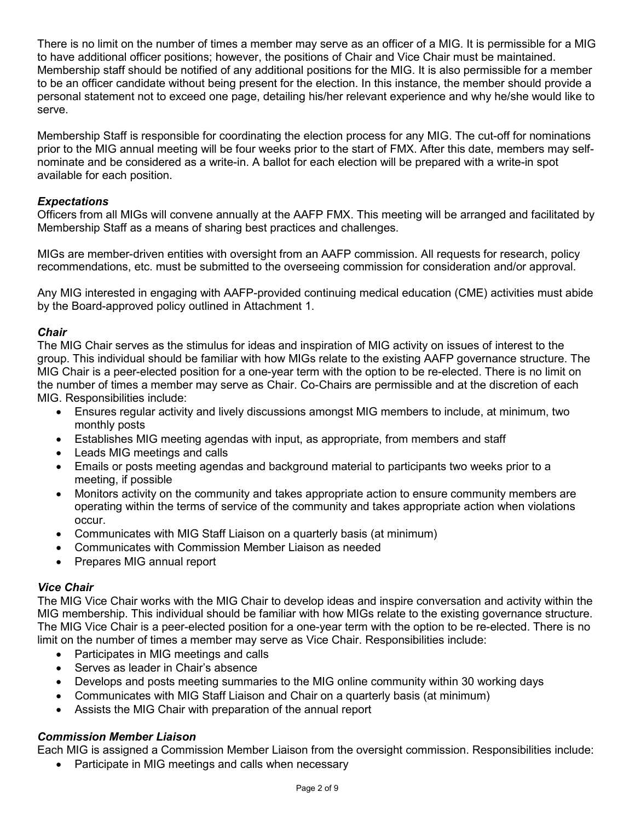There is no limit on the number of times a member may serve as an officer of a MIG. It is permissible for a MIG to have additional officer positions; however, the positions of Chair and Vice Chair must be maintained. Membership staff should be notified of any additional positions for the MIG. It is also permissible for a member to be an officer candidate without being present for the election. In this instance, the member should provide a personal statement not to exceed one page, detailing his/her relevant experience and why he/she would like to serve.

Membership Staff is responsible for coordinating the election process for any MIG. The cut-off for nominations prior to the MIG annual meeting will be four weeks prior to the start of FMX. After this date, members may selfnominate and be considered as a write-in. A ballot for each election will be prepared with a write-in spot available for each position.

#### *Expectations*

Officers from all MIGs will convene annually at the AAFP FMX. This meeting will be arranged and facilitated by Membership Staff as a means of sharing best practices and challenges.

MIGs are member-driven entities with oversight from an AAFP commission. All requests for research, policy recommendations, etc. must be submitted to the overseeing commission for consideration and/or approval.

Any MIG interested in engaging with AAFP-provided continuing medical education (CME) activities must abide by the Board-approved policy outlined in Attachment 1.

#### *Chair*

The MIG Chair serves as the stimulus for ideas and inspiration of MIG activity on issues of interest to the group. This individual should be familiar with how MIGs relate to the existing AAFP governance structure. The MIG Chair is a peer-elected position for a one-year term with the option to be re-elected. There is no limit on the number of times a member may serve as Chair. Co-Chairs are permissible and at the discretion of each MIG. Responsibilities include:

- Ensures regular activity and lively discussions amongst MIG members to include, at minimum, two monthly posts
- Establishes MIG meeting agendas with input, as appropriate, from members and staff
- Leads MIG meetings and calls
- Emails or posts meeting agendas and background material to participants two weeks prior to a meeting, if possible
- Monitors activity on the community and takes appropriate action to ensure community members are operating within the terms of service of the community and takes appropriate action when violations occur.
- Communicates with MIG Staff Liaison on a quarterly basis (at minimum)
- Communicates with Commission Member Liaison as needed
- Prepares MIG annual report

#### *Vice Chair*

The MIG Vice Chair works with the MIG Chair to develop ideas and inspire conversation and activity within the MIG membership. This individual should be familiar with how MIGs relate to the existing governance structure. The MIG Vice Chair is a peer-elected position for a one-year term with the option to be re-elected. There is no limit on the number of times a member may serve as Vice Chair. Responsibilities include:

- Participates in MIG meetings and calls
- Serves as leader in Chair's absence
- Develops and posts meeting summaries to the MIG online community within 30 working days
- Communicates with MIG Staff Liaison and Chair on a quarterly basis (at minimum)
- Assists the MIG Chair with preparation of the annual report

#### *Commission Member Liaison*

Each MIG is assigned a Commission Member Liaison from the oversight commission. Responsibilities include:

• Participate in MIG meetings and calls when necessary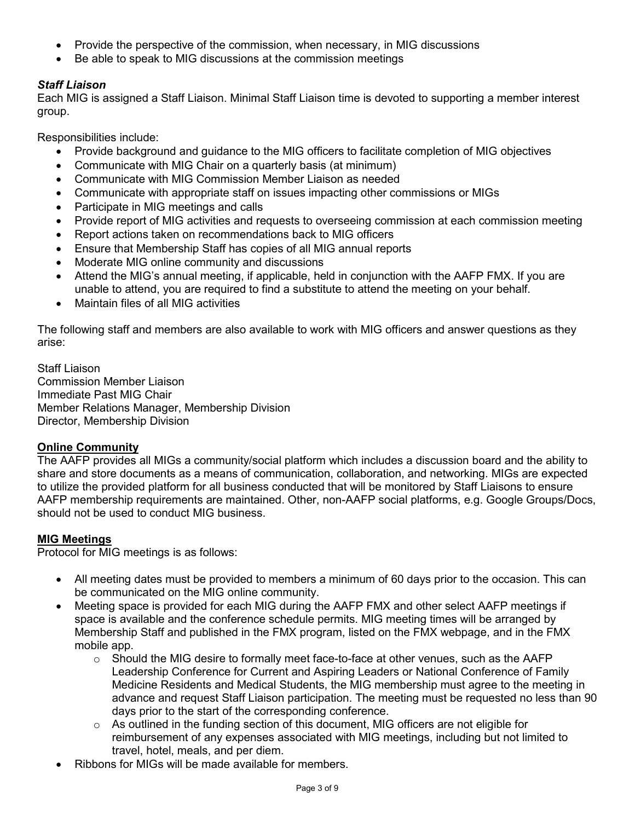- Provide the perspective of the commission, when necessary, in MIG discussions
- Be able to speak to MIG discussions at the commission meetings

# *Staff Liaison*

Each MIG is assigned a Staff Liaison. Minimal Staff Liaison time is devoted to supporting a member interest group.

Responsibilities include:

- Provide background and guidance to the MIG officers to facilitate completion of MIG objectives
- Communicate with MIG Chair on a quarterly basis (at minimum)
- Communicate with MIG Commission Member Liaison as needed
- Communicate with appropriate staff on issues impacting other commissions or MIGs
- Participate in MIG meetings and calls
- Provide report of MIG activities and requests to overseeing commission at each commission meeting
- Report actions taken on recommendations back to MIG officers
- Ensure that Membership Staff has copies of all MIG annual reports
- Moderate MIG online community and discussions
- Attend the MIG's annual meeting, if applicable, held in conjunction with the AAFP FMX. If you are unable to attend, you are required to find a substitute to attend the meeting on your behalf.
- Maintain files of all MIG activities

The following staff and members are also available to work with MIG officers and answer questions as they arise:

Staff Liaison Commission Member Liaison Immediate Past MIG Chair Member Relations Manager, Membership Division Director, Membership Division

# **Online Community**

The AAFP provides all MIGs a community/social platform which includes a discussion board and the ability to share and store documents as a means of communication, collaboration, and networking. MIGs are expected to utilize the provided platform for all business conducted that will be monitored by Staff Liaisons to ensure AAFP membership requirements are maintained. Other, non-AAFP social platforms, e.g. Google Groups/Docs, should not be used to conduct MIG business.

# **MIG Meetings**

Protocol for MIG meetings is as follows:

- All meeting dates must be provided to members a minimum of 60 days prior to the occasion. This can be communicated on the MIG online community.
- Meeting space is provided for each MIG during the AAFP FMX and other select AAFP meetings if space is available and the conference schedule permits. MIG meeting times will be arranged by Membership Staff and published in the FMX program, listed on the FMX webpage, and in the FMX mobile app.
	- $\circ$  Should the MIG desire to formally meet face-to-face at other venues, such as the AAFP Leadership Conference for Current and Aspiring Leaders or National Conference of Family Medicine Residents and Medical Students, the MIG membership must agree to the meeting in advance and request Staff Liaison participation. The meeting must be requested no less than 90 days prior to the start of the corresponding conference.
	- o As outlined in the funding section of this document, MIG officers are not eligible for reimbursement of any expenses associated with MIG meetings, including but not limited to travel, hotel, meals, and per diem.
- Ribbons for MIGs will be made available for members.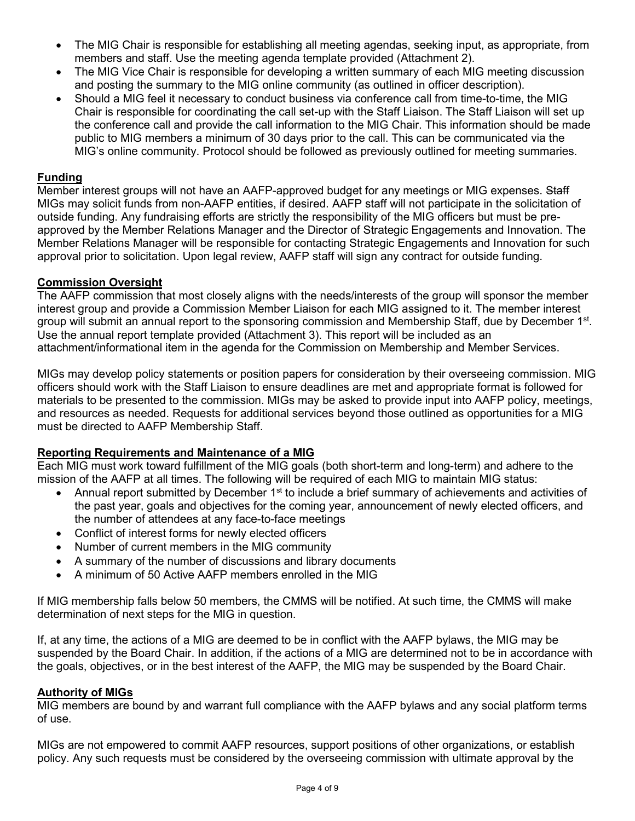- The MIG Chair is responsible for establishing all meeting agendas, seeking input, as appropriate, from members and staff. Use the meeting agenda template provided (Attachment 2).
- The MIG Vice Chair is responsible for developing a written summary of each MIG meeting discussion and posting the summary to the MIG online community (as outlined in officer description).
- Should a MIG feel it necessary to conduct business via conference call from time-to-time, the MIG Chair is responsible for coordinating the call set-up with the Staff Liaison. The Staff Liaison will set up the conference call and provide the call information to the MIG Chair. This information should be made public to MIG members a minimum of 30 days prior to the call. This can be communicated via the MIG's online community. Protocol should be followed as previously outlined for meeting summaries.

#### **Funding**

Member interest groups will not have an AAFP-approved budget for any meetings or MIG expenses. Staff MIGs may solicit funds from non-AAFP entities, if desired. AAFP staff will not participate in the solicitation of outside funding. Any fundraising efforts are strictly the responsibility of the MIG officers but must be preapproved by the Member Relations Manager and the Director of Strategic Engagements and Innovation. The Member Relations Manager will be responsible for contacting Strategic Engagements and Innovation for such approval prior to solicitation. Upon legal review, AAFP staff will sign any contract for outside funding.

#### **Commission Oversight**

The AAFP commission that most closely aligns with the needs/interests of the group will sponsor the member interest group and provide a Commission Member Liaison for each MIG assigned to it. The member interest group will submit an annual report to the sponsoring commission and Membership Staff, due by December 1<sup>st</sup>. Use the annual report template provided (Attachment 3). This report will be included as an attachment/informational item in the agenda for the Commission on Membership and Member Services.

MIGs may develop policy statements or position papers for consideration by their overseeing commission. MIG officers should work with the Staff Liaison to ensure deadlines are met and appropriate format is followed for materials to be presented to the commission. MIGs may be asked to provide input into AAFP policy, meetings, and resources as needed. Requests for additional services beyond those outlined as opportunities for a MIG must be directed to AAFP Membership Staff.

#### **Reporting Requirements and Maintenance of a MIG**

Each MIG must work toward fulfillment of the MIG goals (both short-term and long-term) and adhere to the mission of the AAFP at all times. The following will be required of each MIG to maintain MIG status:

- Annual report submitted by December 1<sup>st</sup> to include a brief summary of achievements and activities of the past year, goals and objectives for the coming year, announcement of newly elected officers, and the number of attendees at any face-to-face meetings
- Conflict of interest forms for newly elected officers
- Number of current members in the MIG community
- A summary of the number of discussions and library documents
- A minimum of 50 Active AAFP members enrolled in the MIG

If MIG membership falls below 50 members, the CMMS will be notified. At such time, the CMMS will make determination of next steps for the MIG in question.

If, at any time, the actions of a MIG are deemed to be in conflict with the AAFP bylaws, the MIG may be suspended by the Board Chair. In addition, if the actions of a MIG are determined not to be in accordance with the goals, objectives, or in the best interest of the AAFP, the MIG may be suspended by the Board Chair.

#### **Authority of MIGs**

MIG members are bound by and warrant full compliance with the AAFP bylaws and any social platform terms of use.

MIGs are not empowered to commit AAFP resources, support positions of other organizations, or establish policy. Any such requests must be considered by the overseeing commission with ultimate approval by the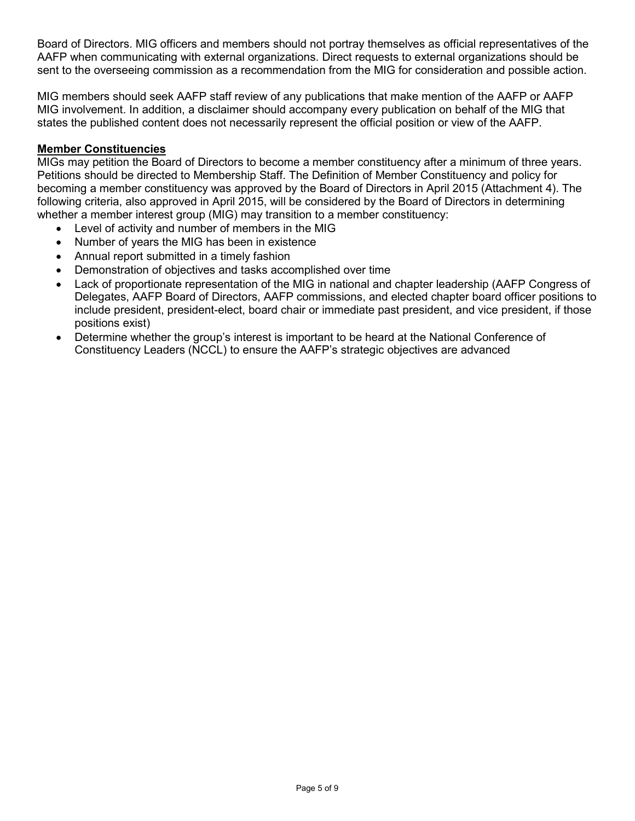Board of Directors. MIG officers and members should not portray themselves as official representatives of the AAFP when communicating with external organizations. Direct requests to external organizations should be sent to the overseeing commission as a recommendation from the MIG for consideration and possible action.

MIG members should seek AAFP staff review of any publications that make mention of the AAFP or AAFP MIG involvement. In addition, a disclaimer should accompany every publication on behalf of the MIG that states the published content does not necessarily represent the official position or view of the AAFP.

#### **Member Constituencies**

MIGs may petition the Board of Directors to become a member constituency after a minimum of three years. Petitions should be directed to Membership Staff. The Definition of Member Constituency and policy for becoming a member constituency was approved by the Board of Directors in April 2015 (Attachment 4). The following criteria, also approved in April 2015, will be considered by the Board of Directors in determining whether a member interest group (MIG) may transition to a member constituency:

- Level of activity and number of members in the MIG
- Number of years the MIG has been in existence
- Annual report submitted in a timely fashion
- Demonstration of objectives and tasks accomplished over time
- Lack of proportionate representation of the MIG in national and chapter leadership (AAFP Congress of Delegates, AAFP Board of Directors, AAFP commissions, and elected chapter board officer positions to include president, president-elect, board chair or immediate past president, and vice president, if those positions exist)
- Determine whether the group's interest is important to be heard at the National Conference of Constituency Leaders (NCCL) to ensure the AAFP's strategic objectives are advanced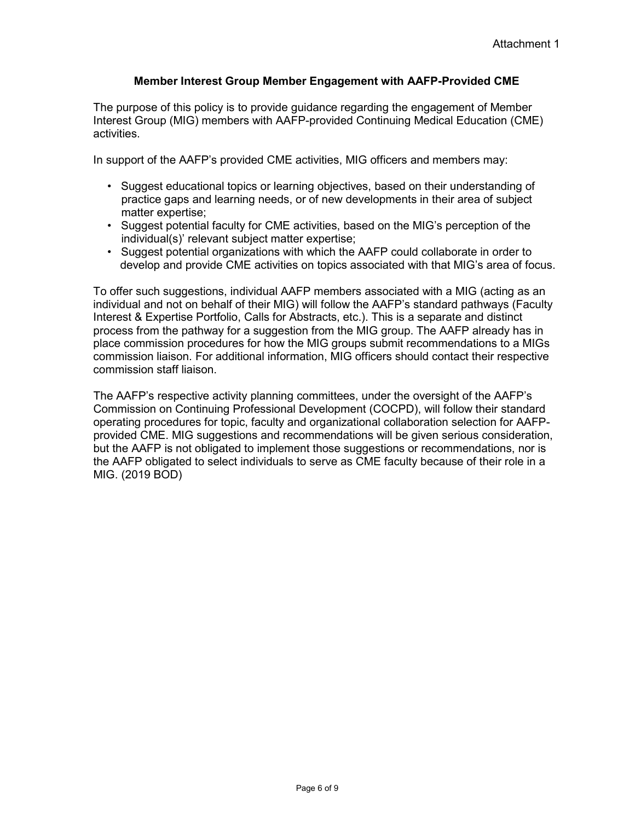#### **Member Interest Group Member Engagement with AAFP-Provided CME**

The purpose of this policy is to provide guidance regarding the engagement of Member Interest Group (MIG) members with AAFP-provided Continuing Medical Education (CME) activities.

In support of the AAFP's provided CME activities, MIG officers and members may:

- Suggest educational topics or learning objectives, based on their understanding of practice gaps and learning needs, or of new developments in their area of subject matter expertise;
- Suggest potential faculty for CME activities, based on the MIG's perception of the individual(s)' relevant subject matter expertise;
- Suggest potential organizations with which the AAFP could collaborate in order to develop and provide CME activities on topics associated with that MIG's area of focus.

To offer such suggestions, individual AAFP members associated with a MIG (acting as an individual and not on behalf of their MIG) will follow the AAFP's standard pathways (Faculty Interest & Expertise Portfolio, Calls for Abstracts, etc.). This is a separate and distinct process from the pathway for a suggestion from the MIG group. The AAFP already has in place commission procedures for how the MIG groups submit recommendations to a MIGs commission liaison. For additional information, MIG officers should contact their respective commission staff liaison.

The AAFP's respective activity planning committees, under the oversight of the AAFP's Commission on Continuing Professional Development (COCPD), will follow their standard operating procedures for topic, faculty and organizational collaboration selection for AAFPprovided CME. MIG suggestions and recommendations will be given serious consideration, but the AAFP is not obligated to implement those suggestions or recommendations, nor is the AAFP obligated to select individuals to serve as CME faculty because of their role in a MIG. (2019 BOD)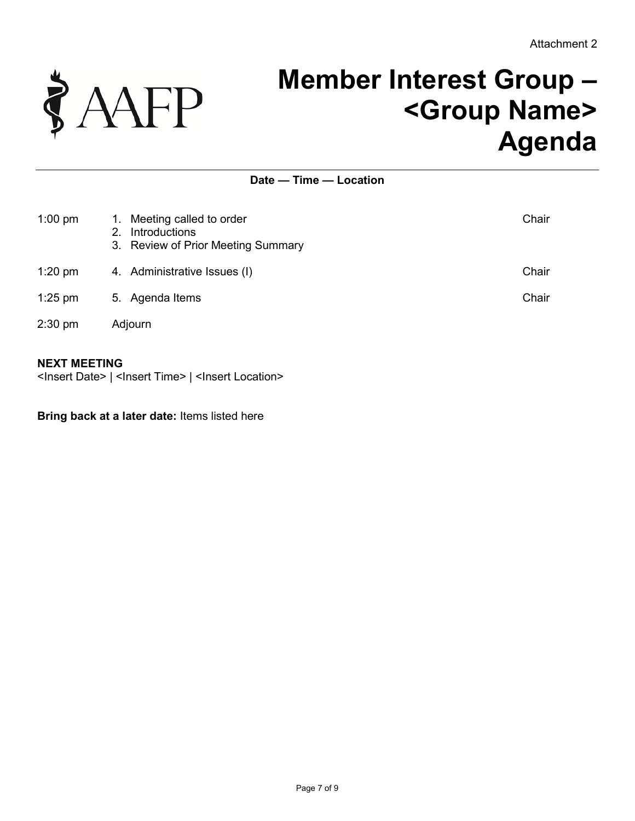

# **Member Interest Group – <Group Name> Agenda**

## **Date — Time — Location**

| $1:00$ pm | Meeting called to order<br>1.<br>Introductions<br>2.<br>3. Review of Prior Meeting Summary | Chair |
|-----------|--------------------------------------------------------------------------------------------|-------|
| $1:20$ pm | 4. Administrative Issues (I)                                                               | Chair |
| $1:25$ pm | 5. Agenda Items                                                                            | Chair |
| 2:30 pm   | Adjourn                                                                                    |       |

#### **NEXT MEETING**

<Insert Date> | <Insert Time> | <Insert Location>

#### **Bring back at a later date:** Items listed here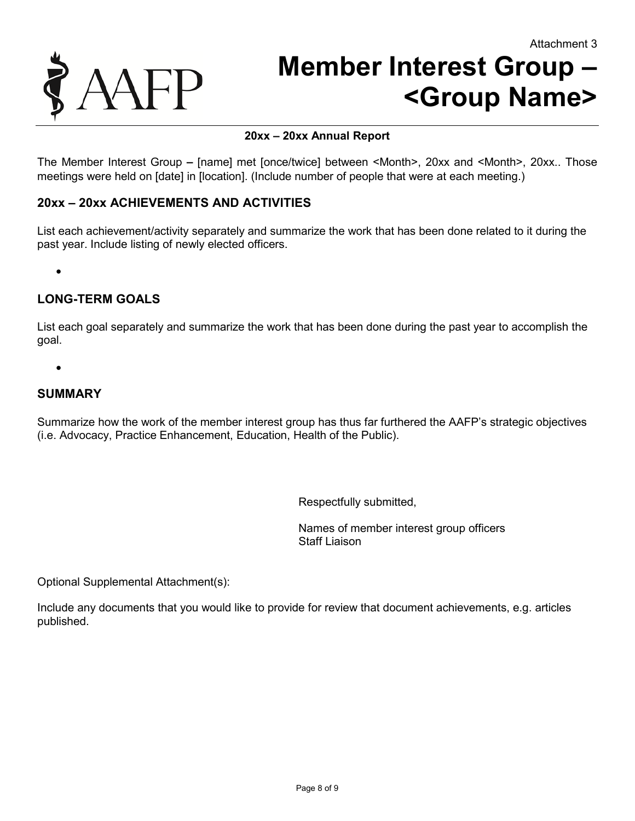

# **Member Interest Group – <Group Name>**

### **20xx – 20xx Annual Report**

The Member Interest Group **–** [name] met [once/twice] between <Month>, 20xx and <Month>, 20xx.. Those meetings were held on [date] in [location]. (Include number of people that were at each meeting.)

#### **20xx – 20xx ACHIEVEMENTS AND ACTIVITIES**

List each achievement/activity separately and summarize the work that has been done related to it during the past year. Include listing of newly elected officers.

•

# **LONG-TERM GOALS**

List each goal separately and summarize the work that has been done during the past year to accomplish the goal.

•

### **SUMMARY**

Summarize how the work of the member interest group has thus far furthered the AAFP's strategic objectives (i.e. Advocacy, Practice Enhancement, Education, Health of the Public).

Respectfully submitted,

Names of member interest group officers Staff Liaison

Optional Supplemental Attachment(s):

Include any documents that you would like to provide for review that document achievements, e.g. articles published.